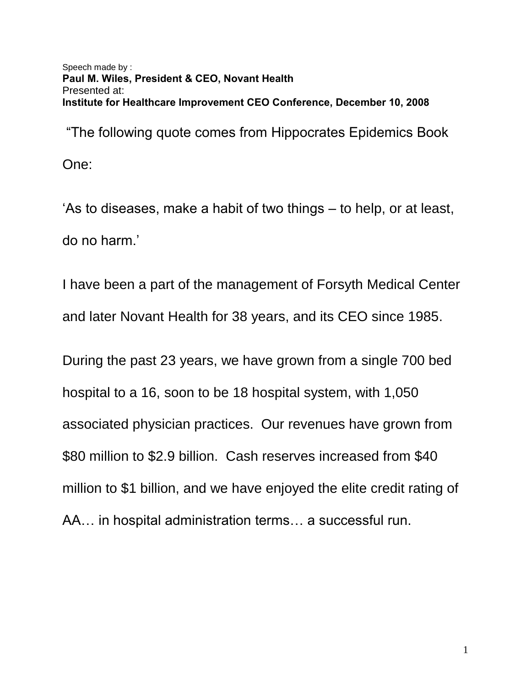Speech made by : **Paul M. Wiles, President & CEO, Novant Health**  Presented at: **Institute for Healthcare Improvement CEO Conference, December 10, 2008** 

"The following quote comes from Hippocrates Epidemics Book

One:

"As to diseases, make a habit of two things – to help, or at least, do no harm."

I have been a part of the management of Forsyth Medical Center and later Novant Health for 38 years, and its CEO since 1985.

During the past 23 years, we have grown from a single 700 bed hospital to a 16, soon to be 18 hospital system, with 1,050 associated physician practices. Our revenues have grown from \$80 million to \$2.9 billion. Cash reserves increased from \$40 million to \$1 billion, and we have enjoyed the elite credit rating of AA… in hospital administration terms… a successful run.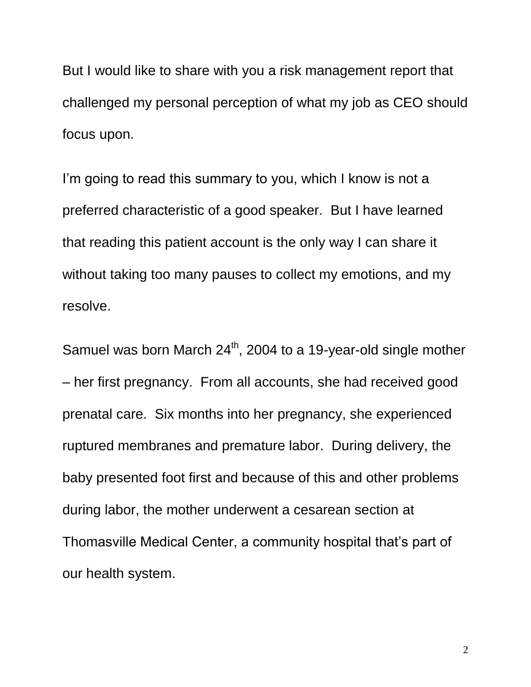But I would like to share with you a risk management report that challenged my personal perception of what my job as CEO should focus upon.

I'm going to read this summary to you, which I know is not a preferred characteristic of a good speaker. But I have learned that reading this patient account is the only way I can share it without taking too many pauses to collect my emotions, and my resolve.

Samuel was born March  $24<sup>th</sup>$ , 2004 to a 19-year-old single mother – her first pregnancy. From all accounts, she had received good prenatal care. Six months into her pregnancy, she experienced ruptured membranes and premature labor. During delivery, the baby presented foot first and because of this and other problems during labor, the mother underwent a cesarean section at Thomasville Medical Center, a community hospital that's part of our health system.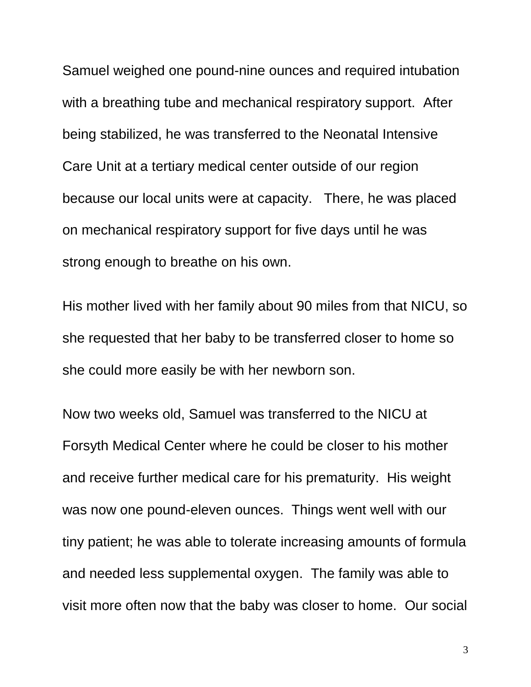Samuel weighed one pound-nine ounces and required intubation with a breathing tube and mechanical respiratory support. After being stabilized, he was transferred to the Neonatal Intensive Care Unit at a tertiary medical center outside of our region because our local units were at capacity. There, he was placed on mechanical respiratory support for five days until he was strong enough to breathe on his own.

His mother lived with her family about 90 miles from that NICU, so she requested that her baby to be transferred closer to home so she could more easily be with her newborn son.

Now two weeks old, Samuel was transferred to the NICU at Forsyth Medical Center where he could be closer to his mother and receive further medical care for his prematurity. His weight was now one pound-eleven ounces. Things went well with our tiny patient; he was able to tolerate increasing amounts of formula and needed less supplemental oxygen. The family was able to visit more often now that the baby was closer to home. Our social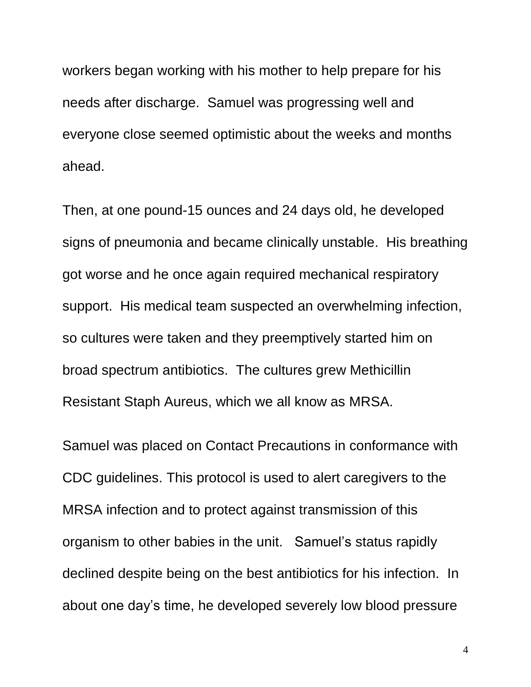workers began working with his mother to help prepare for his needs after discharge. Samuel was progressing well and everyone close seemed optimistic about the weeks and months ahead.

Then, at one pound-15 ounces and 24 days old, he developed signs of pneumonia and became clinically unstable. His breathing got worse and he once again required mechanical respiratory support. His medical team suspected an overwhelming infection, so cultures were taken and they preemptively started him on broad spectrum antibiotics. The cultures grew Methicillin Resistant Staph Aureus, which we all know as MRSA.

Samuel was placed on Contact Precautions in conformance with CDC guidelines. This protocol is used to alert caregivers to the MRSA infection and to protect against transmission of this organism to other babies in the unit. Samuel"s status rapidly declined despite being on the best antibiotics for his infection. In about one day"s time, he developed severely low blood pressure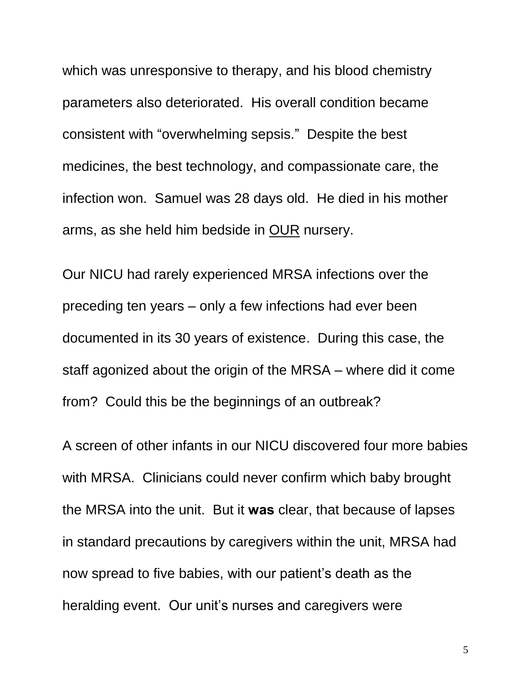which was unresponsive to therapy, and his blood chemistry parameters also deteriorated. His overall condition became consistent with "overwhelming sepsis." Despite the best medicines, the best technology, and compassionate care, the infection won. Samuel was 28 days old. He died in his mother arms, as she held him bedside in OUR nursery.

Our NICU had rarely experienced MRSA infections over the preceding ten years – only a few infections had ever been documented in its 30 years of existence. During this case, the staff agonized about the origin of the MRSA – where did it come from? Could this be the beginnings of an outbreak?

A screen of other infants in our NICU discovered four more babies with MRSA. Clinicians could never confirm which baby brought the MRSA into the unit. But it **was** clear, that because of lapses in standard precautions by caregivers within the unit, MRSA had now spread to five babies, with our patient"s death as the heralding event. Our unit's nurses and caregivers were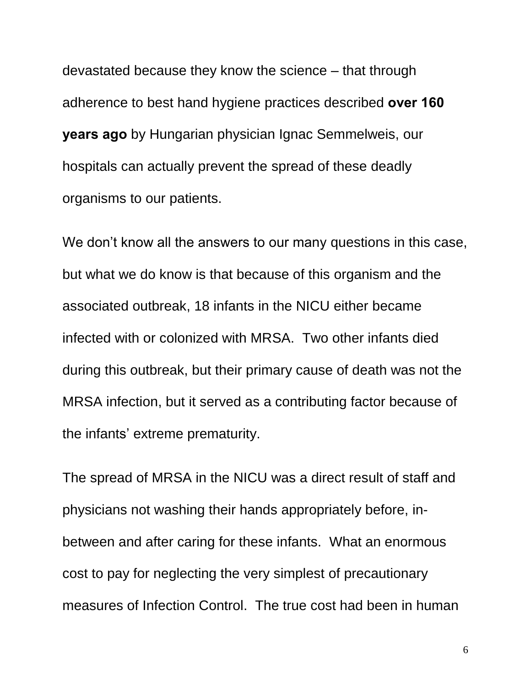devastated because they know the science – that through adherence to best hand hygiene practices described **over 160 years ago** by Hungarian physician Ignac Semmelweis, our hospitals can actually prevent the spread of these deadly organisms to our patients.

We don't know all the answers to our many questions in this case, but what we do know is that because of this organism and the associated outbreak, 18 infants in the NICU either became infected with or colonized with MRSA. Two other infants died during this outbreak, but their primary cause of death was not the MRSA infection, but it served as a contributing factor because of the infants' extreme prematurity.

The spread of MRSA in the NICU was a direct result of staff and physicians not washing their hands appropriately before, inbetween and after caring for these infants. What an enormous cost to pay for neglecting the very simplest of precautionary measures of Infection Control. The true cost had been in human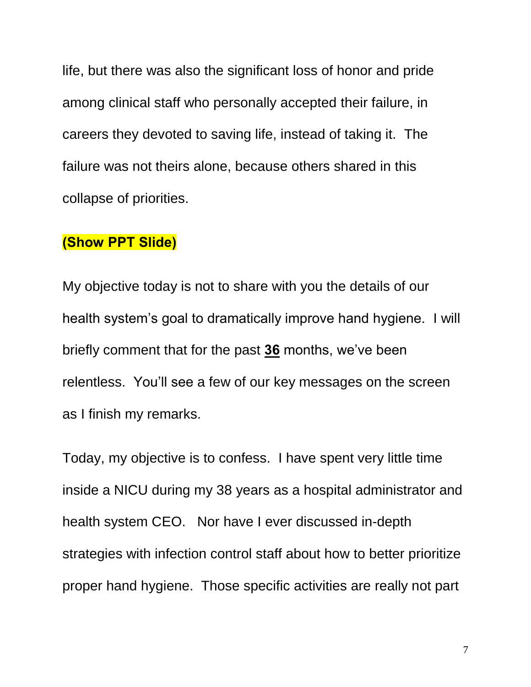life, but there was also the significant loss of honor and pride among clinical staff who personally accepted their failure, in careers they devoted to saving life, instead of taking it. The failure was not theirs alone, because others shared in this collapse of priorities.

## **(Show PPT Slide)**

My objective today is not to share with you the details of our health system's goal to dramatically improve hand hygiene. I will briefly comment that for the past **36** months, we"ve been relentless. You"ll see a few of our key messages on the screen as I finish my remarks.

Today, my objective is to confess. I have spent very little time inside a NICU during my 38 years as a hospital administrator and health system CEO. Nor have I ever discussed in-depth strategies with infection control staff about how to better prioritize proper hand hygiene. Those specific activities are really not part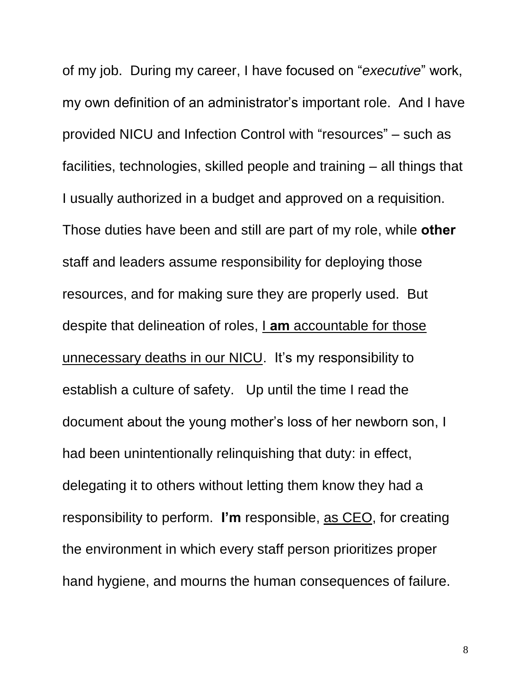of my job. During my career, I have focused on "*executive*" work, my own definition of an administrator's important role. And I have provided NICU and Infection Control with "resources" – such as facilities, technologies, skilled people and training – all things that I usually authorized in a budget and approved on a requisition. Those duties have been and still are part of my role, while **other**  staff and leaders assume responsibility for deploying those resources, and for making sure they are properly used. But despite that delineation of roles, I **am** accountable for those unnecessary deaths in our NICU. It"s my responsibility to establish a culture of safety. Up until the time I read the document about the young mother"s loss of her newborn son, I had been unintentionally relinquishing that duty: in effect, delegating it to others without letting them know they had a responsibility to perform. **I'm** responsible, as CEO, for creating the environment in which every staff person prioritizes proper hand hygiene, and mourns the human consequences of failure.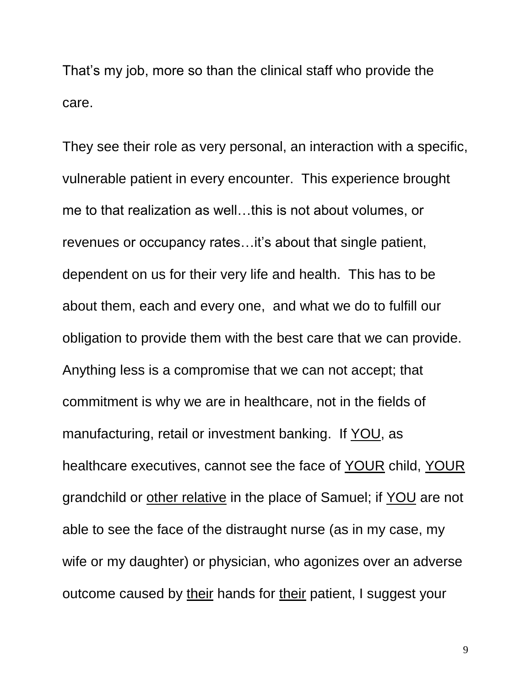That"s my job, more so than the clinical staff who provide the care.

They see their role as very personal, an interaction with a specific, vulnerable patient in every encounter. This experience brought me to that realization as well…this is not about volumes, or revenues or occupancy rates... it's about that single patient, dependent on us for their very life and health. This has to be about them, each and every one, and what we do to fulfill our obligation to provide them with the best care that we can provide. Anything less is a compromise that we can not accept; that commitment is why we are in healthcare, not in the fields of manufacturing, retail or investment banking. If YOU, as healthcare executives, cannot see the face of YOUR child, YOUR grandchild or other relative in the place of Samuel; if YOU are not able to see the face of the distraught nurse (as in my case, my wife or my daughter) or physician, who agonizes over an adverse outcome caused by their hands for their patient, I suggest your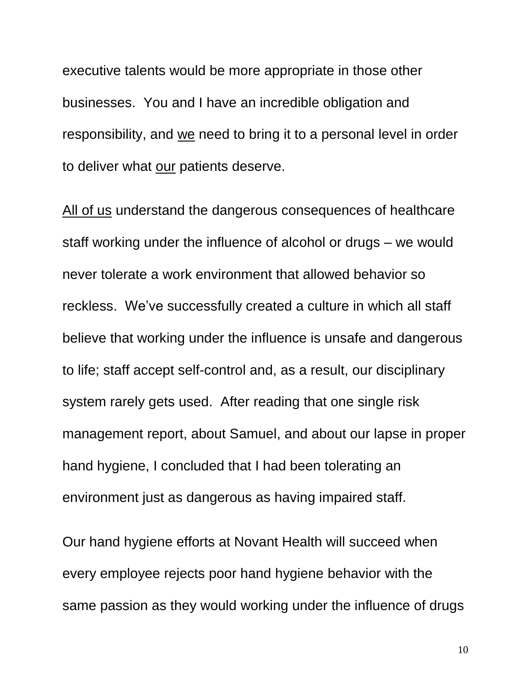executive talents would be more appropriate in those other businesses. You and I have an incredible obligation and responsibility, and we need to bring it to a personal level in order to deliver what our patients deserve.

All of us understand the dangerous consequences of healthcare staff working under the influence of alcohol or drugs – we would never tolerate a work environment that allowed behavior so reckless. We've successfully created a culture in which all staff believe that working under the influence is unsafe and dangerous to life; staff accept self-control and, as a result, our disciplinary system rarely gets used. After reading that one single risk management report, about Samuel, and about our lapse in proper hand hygiene, I concluded that I had been tolerating an environment just as dangerous as having impaired staff.

Our hand hygiene efforts at Novant Health will succeed when every employee rejects poor hand hygiene behavior with the same passion as they would working under the influence of drugs